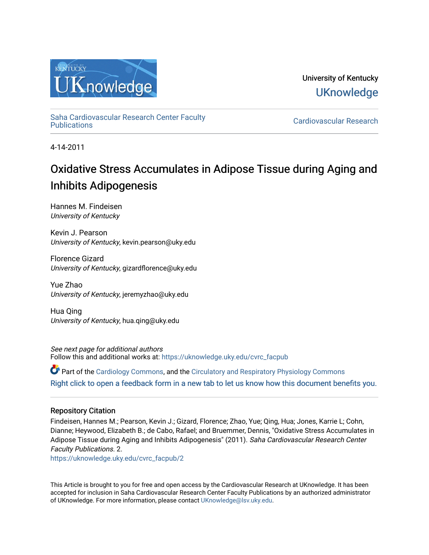

University of Kentucky **UKnowledge** 

[Saha Cardiovascular Research Center Faculty](https://uknowledge.uky.edu/cvrc_facpub)

Cardiovascular Research

4-14-2011

## Oxidative Stress Accumulates in Adipose Tissue during Aging and Inhibits Adipogenesis

Hannes M. Findeisen University of Kentucky

Kevin J. Pearson University of Kentucky, kevin.pearson@uky.edu

Florence Gizard University of Kentucky, gizardflorence@uky.edu

Yue Zhao University of Kentucky, jeremyzhao@uky.edu

Hua Qing University of Kentucky, hua.qing@uky.edu

See next page for additional authors Follow this and additional works at: [https://uknowledge.uky.edu/cvrc\\_facpub](https://uknowledge.uky.edu/cvrc_facpub?utm_source=uknowledge.uky.edu%2Fcvrc_facpub%2F2&utm_medium=PDF&utm_campaign=PDFCoverPages)

Part of the [Cardiology Commons](http://network.bepress.com/hgg/discipline/683?utm_source=uknowledge.uky.edu%2Fcvrc_facpub%2F2&utm_medium=PDF&utm_campaign=PDFCoverPages), and the [Circulatory and Respiratory Physiology Commons](http://network.bepress.com/hgg/discipline/947?utm_source=uknowledge.uky.edu%2Fcvrc_facpub%2F2&utm_medium=PDF&utm_campaign=PDFCoverPages)  [Right click to open a feedback form in a new tab to let us know how this document benefits you.](https://uky.az1.qualtrics.com/jfe/form/SV_9mq8fx2GnONRfz7)

## Repository Citation

Findeisen, Hannes M.; Pearson, Kevin J.; Gizard, Florence; Zhao, Yue; Qing, Hua; Jones, Karrie L; Cohn, Dianne; Heywood, Elizabeth B.; de Cabo, Rafael; and Bruemmer, Dennis, "Oxidative Stress Accumulates in Adipose Tissue during Aging and Inhibits Adipogenesis" (2011). Saha Cardiovascular Research Center Faculty Publications. 2.

[https://uknowledge.uky.edu/cvrc\\_facpub/2](https://uknowledge.uky.edu/cvrc_facpub/2?utm_source=uknowledge.uky.edu%2Fcvrc_facpub%2F2&utm_medium=PDF&utm_campaign=PDFCoverPages)

This Article is brought to you for free and open access by the Cardiovascular Research at UKnowledge. It has been accepted for inclusion in Saha Cardiovascular Research Center Faculty Publications by an authorized administrator of UKnowledge. For more information, please contact [UKnowledge@lsv.uky.edu.](mailto:UKnowledge@lsv.uky.edu)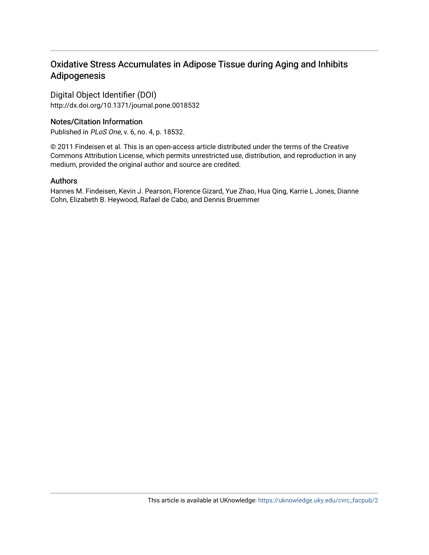## Oxidative Stress Accumulates in Adipose Tissue during Aging and Inhibits Adipogenesis

Digital Object Identifier (DOI) http://dx.doi.org/10.1371/journal.pone.0018532

## Notes/Citation Information

Published in PLoS One, v. 6, no. 4, p. 18532.

© 2011 Findeisen et al. This is an open-access article distributed under the terms of the Creative Commons Attribution License, which permits unrestricted use, distribution, and reproduction in any medium, provided the original author and source are credited.

## Authors

Hannes M. Findeisen, Kevin J. Pearson, Florence Gizard, Yue Zhao, Hua Qing, Karrie L Jones, Dianne Cohn, Elizabeth B. Heywood, Rafael de Cabo, and Dennis Bruemmer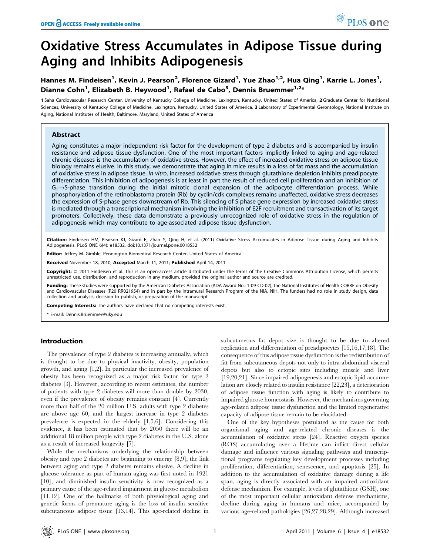# Oxidative Stress Accumulates in Adipose Tissue during Aging and Inhibits Adipogenesis

## Hannes M. Findeisen<sup>1</sup>, Kevin J. Pearson<sup>2</sup>, Florence Gizard<sup>1</sup>, Yue Zhao<sup>1,2</sup>, Hua Qing<sup>1</sup>, Karrie L. Jones<sup>1</sup>, Dianne Cohn<sup>1</sup>, Elizabeth B. Heywood<sup>1</sup>, Rafael de Cabo<sup>3</sup>, Dennis Bruemmer<sup>1,2</sup>\*

1 Saha Cardiovascular Research Center, University of Kentucky College of Medicine, Lexington, Kentucky, United States of America, 2 Graduate Center for Nutritional Sciences, University of Kentucky College of Medicine, Lexington, Kentucky, United States of America, 3 Laboratory of Experimental Gerontology, National Institute on Aging, National Institutes of Health, Baltimore, Maryland, United States of America

#### Abstract

Aging constitutes a major independent risk factor for the development of type 2 diabetes and is accompanied by insulin resistance and adipose tissue dysfunction. One of the most important factors implicitly linked to aging and age-related chronic diseases is the accumulation of oxidative stress. However, the effect of increased oxidative stress on adipose tissue biology remains elusive. In this study, we demonstrate that aging in mice results in a loss of fat mass and the accumulation of oxidative stress in adipose tissue. In vitro, increased oxidative stress through glutathione depletion inhibits preadipocyte differentiation. This inhibition of adipogenesis is at least in part the result of reduced cell proliferation and an inhibition of  $G_1 \rightarrow S_1$  phase transition during the initial mitotic clonal expansion of the adipocyte differentiation process. While phosphorylation of the retinoblastoma protein (Rb) by cyclin/cdk complexes remains unaffected, oxidative stress decreases the expression of S-phase genes downstream of Rb. This silencing of S phase gene expression by increased oxidative stress is mediated through a transcriptional mechanism involving the inhibition of E2F recruitment and transactivation of its target promoters. Collectively, these data demonstrate a previously unrecognized role of oxidative stress in the regulation of adipogenesis which may contribute to age-associated adipose tissue dysfunction.

Citation: Findeisen HM, Pearson KJ, Gizard F, Zhao Y, Qing H, et al. (2011) Oxidative Stress Accumulates in Adipose Tissue during Aging and Inhibits Adipogenesis. PLoS ONE 6(4): e18532. doi:10.1371/journal.pone.0018532

Editor: Jeffrey M. Gimble, Pennington Biomedical Research Center, United States of America

Received November 18, 2010; Accepted March 11, 2011; Published April 14, 2011

Copyright: © 2011 Findeisen et al. This is an open-access article distributed under the terms of the Creative Commons Attribution License, which permits unrestricted use, distribution, and reproduction in any medium, provided the original author and source are credited.

Funding: These studies were supported by the American Diabetes Association (ADA Award No.: 1-09-CD-02), the National Institutes of Health COBRE on Obesity and Cardiovascular Diseases (P20 RR021954) and in part by the Intramural Research Program of the NIA, NIH. The funders had no role in study design, data collection and analysis, decision to publish, or preparation of the manuscript.

Competing Interests: The authors have declared that no competing interests exist.

\* E-mail: Dennis.Bruemmer@uky.edu

#### Introduction

The prevalence of type 2 diabetes is increasing annually, which is thought to be due to physical inactivity, obesity, population growth, and aging [1,2]. In particular the increased prevalence of obesity has been recognized as a major risk factor for type 2 diabetes [3]. However, according to recent estimates, the number of patients with type 2 diabetes will more than double by 2030, even if the prevalence of obesity remains constant [4]. Currently more than half of the 20 million U.S. adults with type 2 diabetes are above age 60, and the largest increase in type 2 diabetes prevalence is expected in the elderly [1,5,6]. Considering this evidence, it has been estimated that by 2050 there will be an additional 18 million people with type 2 diabetes in the U.S. alone as a result of increased longevity [7].

While the mechanisms underlying the relationship between obesity and type 2 diabetes are beginning to emerge [8,9], the link between aging and type 2 diabetes remains elusive. A decline in glucose tolerance as part of human aging was first noted in 1921 [10], and diminished insulin sensitivity is now recognized as a primary cause of the age-related impairment in glucose metabolism [11,12]. One of the hallmarks of both physiological aging and genetic forms of premature aging is the loss of insulin sensitive subcutaneous adipose tissue [13,14]. This age-related decline in

subcutaneous fat depot size is thought to be due to altered replication and differentiation of preadipocytes [15,16,17,18]. The consequence of this adipose tissue dysfunction is the redistribution of fat from subcutaneous depots not only to intra-abdominal visceral depots but also to ectopic sites including muscle and liver [19,20,21]. Since impaired adipogenesis and ectopic lipid accumulation are closely related to insulin resistance [22,23], a deterioration of adipose tissue function with aging is likely to contribute to impaired glucose homeostasis. However, the mechanisms governing age-related adipose tissue dysfunction and the limited regenerative capacity of adipose tissue remain to be elucidated.

One of the key hypotheses postulated as the cause for both organismal aging and age-related chronic diseases is the accumulation of oxidative stress [24]. Reactive oxygen species (ROS) accumulating over a lifetime can inflict direct cellular damage and influence various signaling pathways and transcriptional programs regulating key development processes including proliferation, differentiation, senescence, and apoptosis [25]. In addition to the accumulation of oxidative damage during a life span, aging is directly associated with an impaired antioxidant defense mechanism. For example, levels of glutathione (GSH), one of the most important cellular antioxidant defense mechanisms, decline during aging in humans and mice, accompanied by various age-related pathologies [26,27,28,29]. Although increased

PLoS one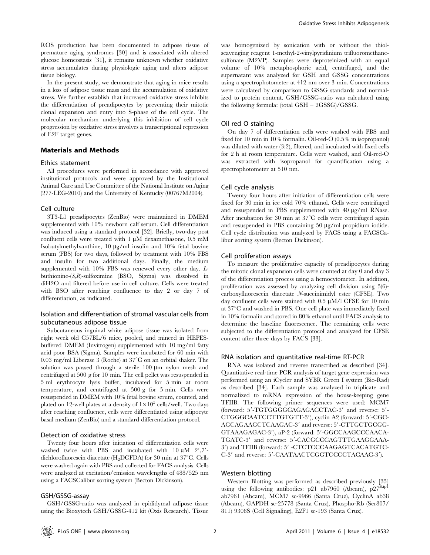ROS production has been documented in adipose tissue of premature aging syndromes [30] and is associated with altered glucose homeostasis [31], it remains unknown whether oxidative stress accumulates during physiologic aging and alters adipose tissue biology.

In the present study, we demonstrate that aging in mice results in a loss of adipose tissue mass and the accumulation of oxidative stress. We further establish that increased oxidative stress inhibits the differentiation of preadipocytes by preventing their mitotic clonal expansion and entry into S-phase of the cell cycle. The molecular mechanism underlying this inhibition of cell cycle progression by oxidative stress involves a transcriptional repression of E2F target genes.

#### Materials and Methods

#### Ethics statement

All procedures were performed in accordance with approved institutional protocols and were approved by the Institutional Animal Care and Use Committee of the National Institute on Aging (277-LEG-2010) and the University of Kentucky (00767M2004).

#### Cell culture

3T3-L1 preadipocytes (ZenBio) were maintained in DMEM supplemented with 10% newborn calf serum. Cell differentiation was induced using a standard protocol [32]. Briefly, two-day post confluent cells were treated with  $1 \mu M$  dexamethasone, 0.5 mM Isobutylmethylxanthine, 10 mg/ml insulin and 10% fetal bovine serum (FBS) for two days, followed by treatment with 10% FBS and insulin for two additional days. Finally, the medium supplemented with 10% FBS was renewed every other day. Lbuthionine-(S,R)-sulfoximine (BSO, Sigma) was dissolved in diH2O and filtered before use in cell culture. Cells were treated with BSO after reaching confluence to day 2 or day 7 of differentiation, as indicated.

#### Isolation and differentiation of stromal vascular cells from subcutaneous adipose tissue

Subcutaneous inguinal white adipose tissue was isolated from eight week old C57BL/6 mice, pooled, and minced in HEPESbuffered DMEM (Invitrogen) supplemented with 10 mg/ml fatty acid poor BSA (Sigma). Samples were incubated for 60 min with 0.03 mg/ml Liberase 3 (Roche) at  $37^{\circ}$ C on an orbital shaker. The solution was passed through a sterile  $100 \mu m$  nylon mesh and centrifuged at 500 g for 10 min. The cell pellet was resuspended in 5 ml erythrocyte lysis buffer, incubated for 5 min at room temperature, and centrifuged at 500 g for 5 min. Cells were resuspended in DMEM with 10% fetal bovine serum, counted, and plated on 12-well plates at a density of  $1\times10^5$  cells/well. Two days after reaching confluence, cells were differentiated using adipocyte basal medium (ZenBio) and a standard differentiation protocol.

#### Detection of oxidative stress

Twenty four hours after initiation of differentiation cells were washed twice with PBS and incubated with  $10 \mu M$  2',7'dichlorofluorescin diacetate (H<sub>2</sub>DCFDA) for 30 min at 37 $\mathrm{^{\circ}C}$ . Cells were washed again with PBS and collected for FACS analysis. Cells were analyzed at excitation/emission wavelengths of 488/525 nm using a FACSCalibur sorting system (Becton Dickinson).

#### GSH/GSSG-assay

GSH/GSSG-ratio was analyzed in epididymal adipose tissue using the Bioxytech GSH/GSSG-412 kit (Oxis Research). Tissue

was homogenized by sonication with or without the thiolscavenging reagent 1-methyl-2-vinylpyridinium trifluoromethanesulfonate (M2VP). Samples were deproteinized with an equal volume of 10% metaphosphoric acid, centrifuged, and the supernatant was analyzed for GSH and GSSG concentrations using a spectrophotometer at 412 nm over 3 min. Concentrations were calculated by comparison to GSSG standards and normalized to protein content. GSH/GSSG-ratio was calculated using the following formula: (total GSH – 2GSSG)/GSSG.

#### Oil red O staining

On day 7 of differentiation cells were washed with PBS and fixed for 10 min in 10% formalin. Oil-red-O (0.5% in isopropanol) was diluted with water (3:2), filtered, and incubated with fixed cells for 2 h at room temperature. Cells were washed, and Oil-red-O was extracted with isopropanol for quantification using a spectrophotometer at 510 nm.

#### Cell cycle analysis

Twenty four hours after initiation of differentiation cells were fixed for 30 min in ice cold 70% ethanol. Cells were centrifuged and resuspended in PBS supplemented with  $40 \mu g/ml$  RNase. After incubation for 30 min at  $37^{\circ}$ C cells were centrifuged again and resuspended in PBS containing  $50 \mu g/ml$  propidium iodide. Cell cycle distribution was analyzed by FACS using a FACSCalibur sorting system (Becton Dickinson).

#### Cell proliferation assays

To measure the proliferative capacity of preadipocytes during the mitotic clonal expansion cells were counted at day 0 and day 3 of the differentiation process using a hemocytometer. In addition, proliferation was assessed by analyzing cell division using 5(6) carboxyfluorescein diacetate N-succinimidyl ester (CFSE). Two day confluent cells were stained with  $0.5 \mu M/l$  CFSE for 10 min at  $37^{\circ}$ C and washed in PBS. One cell plate was immediately fixed in 10% formalin and stored in 80% ethanol until FACS analysis to determine the baseline fluorescence. The remaining cells were subjected to the differentiation protocol and analyzed for CFSE content after three days by FACS [33].

#### RNA isolation and quantitative real-time RT-PCR

RNA was isolated and reverse transcribed as described [34]. Quantitative real-time PCR analysis of target gene expression was performed using an iCycler and SYBR Green I system (Bio-Rad) as described [34]. Each sample was analyzed in triplicate and normalized to mRNA expression of the house-keeping gene TFIIB. The following primer sequences were used: MCM7 (forward: 5'-TGTGGGGCAGAGACCTAC-3' and reverse: 5'-CTGGGCAATCCTTGTGTT-3'), cyclin A2 (forward: 5'-CGC-AGCAGAAGCTCAAGAC-3' and reverse: 5'-CTTGCTGCGG-GTAAAGAGAC-3'), aP-2 (forward: 5'-GGCCAAGCCCAACA-TGATC-3' and reverse: 5'-CACGCCCAGTTTGAAGGAAA-3') and TFIIB (forward: 5' -CTCTCCCAAGAGTCACATGTC-C-3' and reverse: 5'-CAATAACTCGGTCCCCTACAAC-3').

#### Western blotting

Western Blotting was performed as described previously [35] using the following antibodies: p21 ab7960 (Abcam), p27<sup>Kip1</sup> ab7961 (Abcam), MCM7 sc-9966 (Santa Cruz), CyclinA ab38 (Abcam), GAPDH sc-25778 (Santa Cruz), Phospho-Rb (Ser807/ 811) 9308S (Cell Signaling), E2F1 sc-193 (Santa Cruz).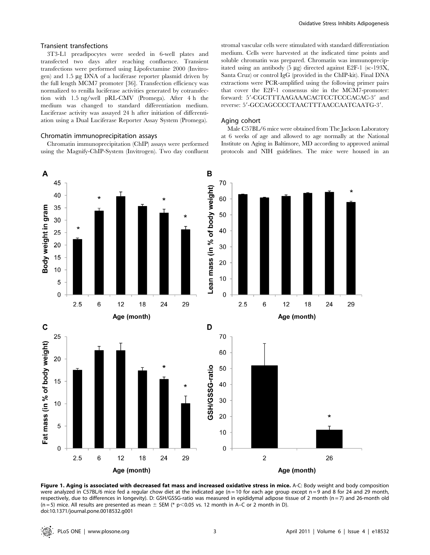#### Transient transfections

3T3-L1 preadipocytes were seeded in 6-well plates and transfected two days after reaching confluence. Transient transfections were performed using Lipofectamine 2000 (Invitrogen) and 1.5 mg DNA of a luciferase reporter plasmid driven by the full length MCM7 promoter [36]. Transfection efficiency was normalized to renilla luciferase activities generated by cotransfection with 1.5 ng/well pRL-CMV (Promega). After 4 h the medium was changed to standard differentiation medium. Luciferase activity was assayed 24 h after initiation of differentiation using a Dual Luciferase Reporter Assay System (Promega).

#### Chromatin immunoprecipitation assays

Chromatin immunoprecipitation (ChIP) assays were performed using the Magnify-ChIP-System (Invitrogen). Two day confluent stromal vascular cells were stimulated with standard differentiation medium. Cells were harvested at the indicated time points and soluble chromatin was prepared. Chromatin was immunoprecipitated using an antibody  $(5 \ \mu g)$  directed against E2F-1 (sc-193X, Santa Cruz) or control IgG (provided in the ChIP-kit). Final DNA extractions were PCR-amplified using the following primer pairs that cover the E2F-1 consensus site in the MCM7-promoter: forward: 5'-CGCTTTAAGAAACACTCCTCCCACAC-3' and reverse: 5'-GCCAGCCCCTAACTTTAACCAATCAATG-3'.

#### Aging cohort

Male C57BL/6 mice were obtained from The Jackson Laboratory at 6 weeks of age and allowed to age normally at the National Institute on Aging in Baltimore, MD according to approved animal protocols and NIH guidelines. The mice were housed in an



Figure 1. Aging is associated with decreased fat mass and increased oxidative stress in mice. A-C: Body weight and body composition were analyzed in C57BL/6 mice fed a regular chow diet at the indicated age ( $n = 10$  for each age group except  $n = 9$  and 8 for 24 and 29 month, respectively, due to differences in longevity). D: GSH/GSSG-ratio was measured in epididymal adipose tissue of 2 month  $(n=7)$  and 26-month old (n = 5) mice. All results are presented as mean  $\pm$  SEM (\* p<0.05 vs. 12 month in A–C or 2 month in D). doi:10.1371/journal.pone.0018532.g001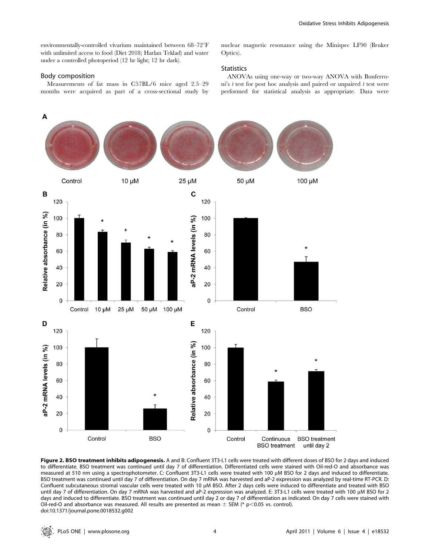environmentally-controlled vivarium maintained between 68-72°F with unlimited access to food (Diet 2018; Harlan Teklad) and water under a controlled photoperiod (12 hr light; 12 hr dark).

#### Body composition

Measurements of fat mass in C57BL/6 mice aged 2.5–29 months were acquired as part of a cross-sectional study by nuclear magnetic resonance using the Minispec LF90 (Bruker Optics).

#### **Statistics**

ANOVAs using one-way or two-way ANOVA with Bonferroni's  $t$  test for post hoc analysis and paired or unpaired  $t$  test were performed for statistical analysis as appropriate. Data were



Figure 2. BSO treatment inhibits adipogenesis. A and B: Confluent 3T3-L1 cells were treated with different doses of BSO for 2 days and induced to differentiate. BSO treatment was continued until day 7 of differentiation. Differentiated cells were stained with Oil-red-O and absorbance was measured at 510 nm using a spectrophotometer. C: Confluent 3T3-L1 cells were treated with 100 µM BSO for 2 days and induced to differentiate. BSO treatment was continued until day 7 of differentiation. On day 7 mRNA was harvested and aP-2 expression was analyzed by real-time RT-PCR. D: Confluent subcutaneous stromal vascular cells were treated with 10 µM BSO. After 2 days cells were induced to differentiate and treated with BSO until day 7 of differentiation. On day 7 mRNA was harvested and aP-2 expression was analyzed. E: 3T3-L1 cells were treated with 100 µM BSO for 2 days and induced to differentiate. BSO treatment was continued until day 2 or day 7 of differentiation as indicated. On day 7 cells were stained with Oil-red-O and absorbance was measured. All results are presented as mean  $\pm$  SEM (\* p<0.05 vs. control). doi:10.1371/journal.pone.0018532.g002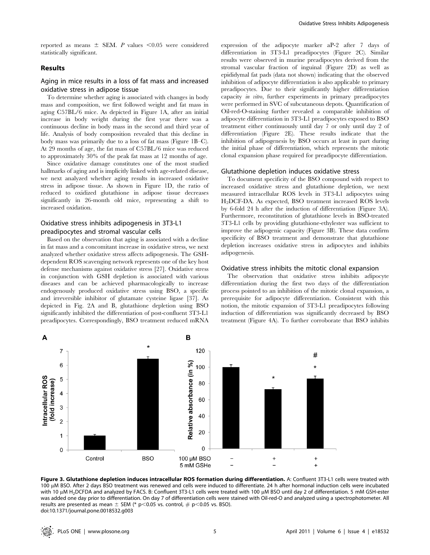reported as means  $\pm$  SEM. P values <0.05 were considered statistically significant.

#### Results

#### Aging in mice results in a loss of fat mass and increased oxidative stress in adipose tissue

To determine whether aging is associated with changes in body mass and composition, we first followed weight and fat mass in aging C57BL/6 mice. As depicted in Figure 1A, after an initial increase in body weight during the first year there was a continuous decline in body mass in the second and third year of life. Analysis of body composition revealed that this decline in body mass was primarily due to a loss of fat mass (Figure 1B–C). At 29 months of age, the fat mass of C57BL/6 mice was reduced to approximately 30% of the peak fat mass at 12 months of age.

Since oxidative damage constitutes one of the most studied hallmarks of aging and is implicitly linked with age-related disease, we next analyzed whether aging results in increased oxidative stress in adipose tissue. As shown in Figure 1D, the ratio of reduced to oxidized glutathione in adipose tissue decreases significantly in 26-month old mice, representing a shift to increased oxidation.

#### Oxidative stress inhibits adipogenesis in 3T3-L1 preadipocytes and stromal vascular cells

Based on the observation that aging is associated with a decline in fat mass and a concomitant increase in oxidative stress, we next analyzed whether oxidative stress affects adipogenesis. The GSHdependent ROS scavenging network represents one of the key host defense mechanisms against oxidative stress [27]. Oxidative stress in conjunction with GSH depletion is associated with various diseases and can be achieved pharmacologically to increase endogenously produced oxidative stress using BSO, a specific and irreversible inhibitor of glutamate cysteine ligase [37]. As depicted in Fig. 2A and B, glutathione depletion using BSO significantly inhibited the differentiation of post-confluent 3T3-L1 preadipocytes. Correspondingly, BSO treatment reduced mRNA expression of the adipocyte marker aP-2 after 7 days of differentiation in 3T3-L1 preadipocytes (Figure 2C). Similar results were observed in murine preadipocytes derived from the stromal vascular fraction of inguinal (Figure 2D) as well as epididymal fat pads (data not shown) indicating that the observed inhibition of adipocyte differentiation is also applicable to primary preadipocytes. Due to their significantly higher differentiation capacity in vitro, further experiments in primary preadipocytes were performed in SVC of subcutaneous depots. Quantification of Oil-red-O-staining further revealed a comparable inhibition of adipocyte differentiation in 3T3-L1 preadipocytes exposed to BSO treatment either continuously until day 7 or only until day 2 of differentiation (Figure 2E). These results indicate that the inhibition of adipogenesis by BSO occurs at least in part during the initial phase of differentiation, which represents the mitotic clonal expansion phase required for preadipocyte differentiation.

#### Glutathione depletion induces oxidative stress

To document specificity of the BSO compound with respect to increased oxidative stress and glutathione depletion, we next measured intracellular ROS levels in 3T3-L1 adipocytes using H2DCF-DA. As expected, BSO treatment increased ROS levels by 6-fold 24 h after the induction of differentiation (Figure 3A). Furthermore, reconstitution of glutathione levels in BSO-treated 3T3-L1 cells by providing glutathione-ethylester was sufficient to improve the adipogenic capacity (Figure 3B). These data confirm specificity of BSO treatment and demonstrate that glutathione depletion increases oxidative stress in adipocytes and inhibits adipogenesis.

#### Oxidative stress inhibits the mitotic clonal expansion

The observation that oxidative stress inhibits adipocyte differentiation during the first two days of the differentiation process pointed to an inhibition of the mitotic clonal expansion, a prerequisite for adipocyte differentiation. Consistent with this notion, the mitotic expansion of 3T3-L1 preadipocytes following induction of differentiation was significantly decreased by BSO treatment (Figure 4A). To further corroborate that BSO inhibits



Figure 3. Glutathione depletion induces intracellular ROS formation during differentiation. A: Confluent 3T3-L1 cells were treated with 100 µM BSO. After 2 days BSO treatment was renewed and cells were induced to differentiate. 24 h after hormonal induction cells were incubated with 10 µM H<sub>2</sub>DCFDA and analyzed by FACS. B: Confluent 3T3-L1 cells were treated with 100 µM BSO until day 2 of differentiation. 5 mM GSH-ester was added one day prior to differentiation. On day 7 of differentiation cells were stained with Oil-red-O and analyzed using a spectrophotometer. All results are presented as mean  $\pm$  SEM (\* p<0.05 vs. control,  $\#$  p<0.05 vs. BSO). doi:10.1371/journal.pone.0018532.g003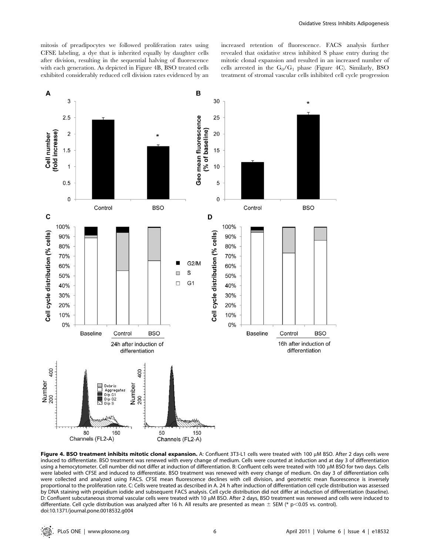mitosis of preadipocytes we followed proliferation rates using CFSE labeling, a dye that is inherited equally by daughter cells after division, resulting in the sequential halving of fluorescence with each generation. As depicted in Figure 4B, BSO treated cells exhibited considerably reduced cell division rates evidenced by an increased retention of fluorescence. FACS analysis further revealed that oxidative stress inhibited S phase entry during the mitotic clonal expansion and resulted in an increased number of cells arrested in the  $G_0/G_1$  phase (Figure 4C). Similarly, BSO treatment of stromal vascular cells inhibited cell cycle progression



Figure 4. BSO treatment inhibits mitotic clonal expansion. A: Confluent 3T3-L1 cells were treated with 100 µM BSO. After 2 days cells were induced to differentiate. BSO treatment was renewed with every change of medium. Cells were counted at induction and at day 3 of differentiation using a hemocytometer. Cell number did not differ at induction of differentiation. B: Confluent cells were treated with 100 µM BSO for two days. Cells were labeled with CFSE and induced to differentiate. BSO treatment was renewed with every change of medium. On day 3 of differentiation cells were collected and analyzed using FACS. CFSE mean fluorescence declines with cell division, and geometric mean fluorescence is inversely proportional to the proliferation rate. C: Cells were treated as described in A. 24 h after induction of differentiation cell cycle distribution was assessed by DNA staining with propidium iodide and subsequent FACS analysis. Cell cycle distribution did not differ at induction of differentiation (baseline). D: Confluent subcutaneous stromal vascular cells were treated with 10 µM BSO. After 2 days, BSO treatment was renewed and cells were induced to differentiate. Cell cycle distribution was analyzed after 16 h. All results are presented as mean  $\pm$  SEM (\* p<0.05 vs. control). doi:10.1371/journal.pone.0018532.g004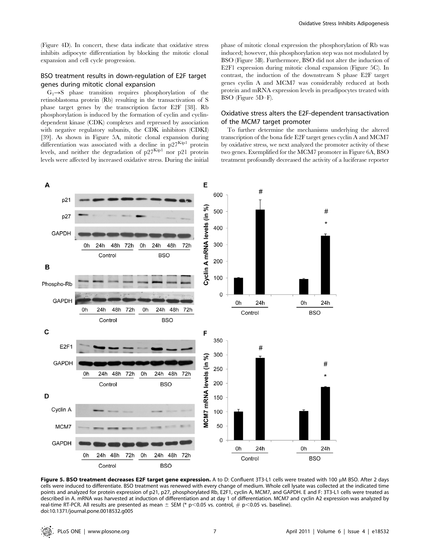#### BSO treatment results in down-regulation of E2F target genes during mitotic clonal expansion

 $G_1 \rightarrow S$  phase transition requires phosphorylation of the retinoblastoma protein (Rb) resulting in the transactivation of S phase target genes by the transcription factor E2F [38]. Rb phosphorylation is induced by the formation of cyclin and cyclindependent kinase (CDK) complexes and repressed by association with negative regulatory subunits, the CDK inhibitors (CDKI) [39]. As shown in Figure 5A, mitotic clonal expansion during differentiation was associated with a decline in  $p27<sup>Kip1</sup>$  protein levels, and neither the degradation of  $p27^{Kip1}$  nor p21 protein levels were affected by increased oxidative stress. During the initial

A

p21

phase of mitotic clonal expression the phosphorylation of Rb was induced; however, this phosphorylation step was not modulated by BSO (Figure 5B). Furthermore, BSO did not alter the induction of E2F1 expression during mitotic clonal expansion (Figure 5C). In contrast, the induction of the downstream S phase E2F target genes cyclin A and MCM7 was considerably reduced at both protein and mRNA expression levels in preadipocytes treated with BSO (Figure 5D–F).

#### Oxidative stress alters the E2F-dependent transactivation of the MCM7 target promoter

To further determine the mechanisms underlying the altered transcription of the bona fide E2F target genes cyclin A and MCM7 by oxidative stress, we next analyzed the promoter activity of these two genes. Exemplified for the MCM7 promoter in Figure 6A, BSO treatment profoundly decreased the activity of a luciferase reporter

#



E

600

cells were induced to differentiate. BSO treatment was renewed with every change of medium. Whole cell lysate was collected at the indicated time points and analyzed for protein expression of p21, p27, phosphorylated Rb, E2F1, cyclin A, MCM7, and GAPDH. E and F: 3T3-L1 cells were treated as described in A. mRNA was harvested at induction of differentiation and at day 1 of differentiation. MCM7 and cyclin A2 expression was analyzed by real-time RT-PCR. All results are presented as mean  $\pm$  SEM (\* p<0.05 vs. control, # p<0.05 vs. baseline). doi:10.1371/journal.pone.0018532.g005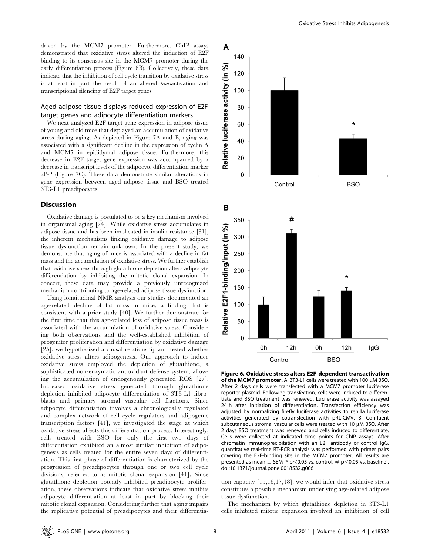driven by the MCM7 promoter. Furthermore, ChIP assays demonstrated that oxidative stress altered the induction of E2F binding to its consensus site in the MCM7 promoter during the early differentiation process (Figure 6B). Collectively, these data indicate that the inhibition of cell cycle transition by oxidative stress is at least in part the result of an altered transactivation and transcriptional silencing of E2F target genes.

#### Aged adipose tissue displays reduced expression of E2F target genes and adipocyte differentiation markers

We next analyzed E2F target gene expression in adipose tissue of young and old mice that displayed an accumulation of oxidative stress during aging. As depicted in Figure 7A and B, aging was associated with a significant decline in the expression of cyclin A and MCM7 in epididymal adipose tissue. Furthermore, this decrease in E2F target gene expression was accompanied by a decrease in transcript levels of the adipocyte differentiation marker aP-2 (Figure 7C). These data demonstrate similar alterations in gene expression between aged adipose tissue and BSO treated 3T3-L1 preadipocytes.

#### **Discussion**

Oxidative damage is postulated to be a key mechanism involved in organismal aging [24]. While oxidative stress accumulates in adipose tissue and has been implicated in insulin resistance [31], the inherent mechanisms linking oxidative damage to adipose tissue dysfunction remain unknown. In the present study, we demonstrate that aging of mice is associated with a decline in fat mass and the accumulation of oxidative stress. We further establish that oxidative stress through glutathione depletion alters adipocyte differentiation by inhibiting the mitotic clonal expansion. In concert, these data may provide a previously unrecognized mechanism contributing to age-related adipose tissue dysfunction.

Using longitudinal NMR analysis our studies documented an age-related decline of fat mass in mice, a finding that is consistent with a prior study [40]. We further demonstrate for the first time that this age-related loss of adipose tissue mass is associated with the accumulation of oxidative stress. Considering both observations and the well-established inhibition of progenitor proliferation and differentiation by oxidative damage [25], we hypothesized a causal relationship and tested whether oxidative stress alters adipogenesis. Our approach to induce oxidative stress employed the depletion of glutathione, a sophisticated non-enzymatic antioxidant defense system, allowing the accumulation of endogenously generated ROS [27]. Increased oxidative stress generated through glutathione depletion inhibited adipocyte differentiation of 3T3-L1 fibroblasts and primary stromal vascular cell fractions. Since adipocyte differentiation involves a chronologically regulated and complex network of cell cycle regulators and adipogenic transcription factors [41], we investigated the stage at which oxidative stress affects this differentiation process. Interestingly, cells treated with BSO for only the first two days of differentiation exhibited an almost similar inhibition of adipogenesis as cells treated for the entire seven days of differentiation. This first phase of differentiation is characterized by the progression of preadipocytes through one or two cell cycle divisions, referred to as mitotic clonal expansion [41]. Since glutathione depletion potently inhibited preadipocyte proliferation, these observations indicate that oxidative stress inhibits adipocyte differentiation at least in part by blocking their mitotic clonal expansion. Considering further that aging impairs the replicative potential of preadipocytes and their differentia-



Figure 6. Oxidative stress alters E2F-dependent transactivation of the MCM7 promoter. A: 3T3-L1 cells were treated with 100  $\mu$ M BSO. After 2 days cells were transfected with a MCM7 promoter luciferase reporter plasmid. Following transfection, cells were induced to differentiate and BSO treatment was renewed. Luciferase activity was assayed 24 h after initiation of differentiation. Transfection efficiency was adjusted by normalizing firefly luciferase activities to renilla luciferase activities generated by cotransfection with pRL-CMV. B: Confluent subcutaneous stromal vascular cells were treated with 10 uM BSO. After 2 days BSO treatment was renewed and cells induced to differentiate. Cells were collected at indicated time points for ChIP assays. After chromatin immunoprecipitation with an E2F antibody or control IgG, quantitative real-time RT-PCR analysis was performed with primer pairs covering the E2F-binding site in the MCM7 promoter. All results are presented as mean  $\pm$  SEM (\* p<0.05 vs. control,  $\#$  p<0.05 vs. baseline). doi:10.1371/journal.pone.0018532.g006

tion capacity [15,16,17,18], we would infer that oxidative stress constitutes a possible mechanism underlying age-related adipose tissue dysfunction.

The mechanism by which glutathione depletion in 3T3-L1 cells inhibited mitotic expansion involved an inhibition of cell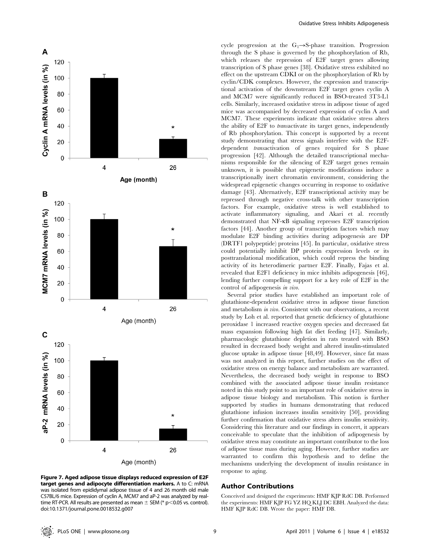

cycle progression at the  $G_1 \rightarrow S$ -phase transition. Progression through the S phase is governed by the phosphorylation of Rb, which releases the repression of E2F target genes allowing transcription of S phase genes [38]. Oxidative stress exhibited no effect on the upstream CDKI or on the phosphorylation of Rb by cyclin/CDK complexes. However, the expression and transcriptional activation of the downstream E2F target genes cyclin A and MCM7 were significantly reduced in BSO-treated 3T3-L1 cells. Similarly, increased oxidative stress in adipose tissue of aged mice was accompanied by decreased expression of cyclin A and MCM7. These experiments indicate that oxidative stress alters the ability of E2F to transactivate its target genes, independently of Rb phosphorylation. This concept is supported by a recent study demonstrating that stress signals interfere with the E2Fdependent transactivation of genes required for S phase progression [42]. Although the detailed transcriptional mechanisms responsible for the silencing of E2F target genes remain unknown, it is possible that epigenetic modifications induce a transcriptionally inert chromatin environment, considering the widespread epigenetic changes occurring in response to oxidative damage [43]. Alternatively, E2F transcriptional activity may be repressed through negative cross-talk with other transcription factors. For example, oxidative stress is well established to activate inflammatory signaling, and Akari et al. recently demonstrated that NF-kB signaling represses E2F transcription factors [44]. Another group of transcription factors which may modulate E2F binding activities during adipogenesis are DP (DRTF1 polypeptide) proteins [45]. In particular, oxidative stress could potentially inhibit DP protein expression levels or its posttranslational modification, which could repress the binding activity of its heterodimeric partner E2F. Finally, Fajas et al. revealed that E2F1 deficiency in mice inhibits adipogenesis [46], lending further compelling support for a key role of E2F in the control of adipogenesis in vivo.

Several prior studies have established an important role of glutathione-dependent oxidative stress in adipose tissue function and metabolism in vivo. Consistent with our observations, a recent study by Loh et al. reported that genetic deficiency of glutathione peroxidase 1 increased reactive oxygen species and decreased fat mass expansion following high fat diet feeding [47]. Similarly, pharmacologic glutathione depletion in rats treated with BSO resulted in decreased body weight and altered insulin-stimulated glucose uptake in adipose tissue [48,49]. However, since fat mass was not analyzed in this report, further studies on the effect of oxidative stress on energy balance and metabolism are warranted. Nevertheless, the decreased body weight in response to BSO combined with the associated adipose tissue insulin resistance noted in this study point to an important role of oxidative stress in adipose tissue biology and metabolism. This notion is further supported by studies in humans demonstrating that reduced glutathione infusion increases insulin sensitivity [50], providing further confirmation that oxidative stress alters insulin sensitivity. Considering this literature and our findings in concert, it appears conceivable to speculate that the inhibition of adipogenesis by oxidative stress may constitute an important contributor to the loss of adipose tissue mass during aging. However, further studies are warranted to confirm this hypothesis and to define the mechanisms underlying the development of insulin resistance in response to aging.

#### Author Contributions

Conceived and designed the experiments: HMF KJP RdC DB. Performed the experiments: HMF KJP FG YZ HQ KLJ DC EBH. Analyzed the data: HMF KJP RdC DB. Wrote the paper: HMF DB.